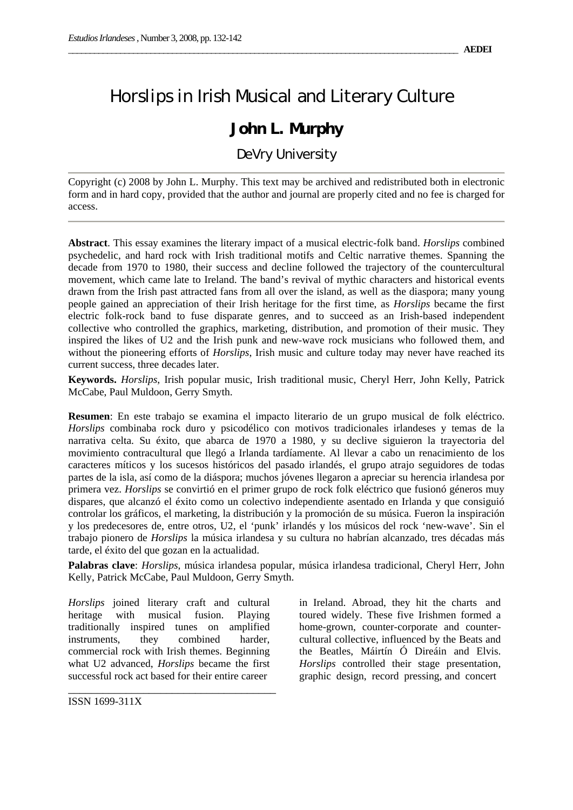## *Horslips* in Irish Musical and Literary Culture

## **John L. Murphy**

DeVry University

Copyright (c) 2008 by John L. Murphy. This text may be archived and redistributed both in electronic form and in hard copy, provided that the author and journal are properly cited and no fee is charged for access.

**Abstract**. This essay examines the literary impact of a musical electric-folk band. *Horslips* combined psychedelic, and hard rock with Irish traditional motifs and Celtic narrative themes. Spanning the decade from 1970 to 1980, their success and decline followed the trajectory of the countercultural movement, which came late to Ireland. The band's revival of mythic characters and historical events drawn from the Irish past attracted fans from all over the island, as well as the diaspora; many young people gained an appreciation of their Irish heritage for the first time, as *Horslips* became the first electric folk-rock band to fuse disparate genres, and to succeed as an Irish-based independent collective who controlled the graphics, marketing, distribution, and promotion of their music. They inspired the likes of U2 and the Irish punk and new-wave rock musicians who followed them, and without the pioneering efforts of *Horslips*, Irish music and culture today may never have reached its current success, three decades later.

**Keywords.** *Horslips*, Irish popular music, Irish traditional music, Cheryl Herr, John Kelly, Patrick McCabe, Paul Muldoon, Gerry Smyth.

**Resumen**: En este trabajo se examina el impacto literario de un grupo musical de folk eléctrico. *Horslips* combinaba rock duro y psicodélico con motivos tradicionales irlandeses y temas de la narrativa celta. Su éxito, que abarca de 1970 a 1980, y su declive siguieron la trayectoria del movimiento contracultural que llegó a Irlanda tardíamente. Al llevar a cabo un renacimiento de los caracteres míticos y los sucesos históricos del pasado irlandés, el grupo atrajo seguidores de todas partes de la isla, así como de la diáspora; muchos jóvenes llegaron a apreciar su herencia irlandesa por primera vez. *Horslips* se convirtió en el primer grupo de rock folk eléctrico que fusionó géneros muy dispares, que alcanzó el éxito como un colectivo independiente asentado en Irlanda y que consiguió controlar los gráficos, el marketing, la distribución y la promoción de su música. Fueron la inspiración y los predecesores de, entre otros, U2, el 'punk' irlandés y los músicos del rock 'new-wave'. Sin el trabajo pionero de *Horslips* la música irlandesa y su cultura no habrían alcanzado, tres décadas más tarde, el éxito del que gozan en la actualidad.

**Palabras clave**: *Horslips*, música irlandesa popular, música irlandesa tradicional, Cheryl Herr, John Kelly, Patrick McCabe, Paul Muldoon, Gerry Smyth.

*Horslips* joined literary craft and cultural heritage with musical fusion. Playing traditionally inspired tunes on amplified instruments, they combined harder, commercial rock with Irish themes. Beginning what U2 advanced, *Horslips* became the first successful rock act based for their entire career

\_\_\_\_\_\_\_\_\_\_\_\_\_\_\_\_\_\_\_\_\_\_\_\_\_\_\_\_\_\_\_\_\_\_\_\_

in Ireland. Abroad, they hit the charts and toured widely. These five Irishmen formed a home-grown, counter-corporate and countercultural collective, influenced by the Beats and the Beatles, Máirtín Ó Direáin and Elvis. *Horslips* controlled their stage presentation, graphic design, record pressing, and concert

ISSN 1699-311X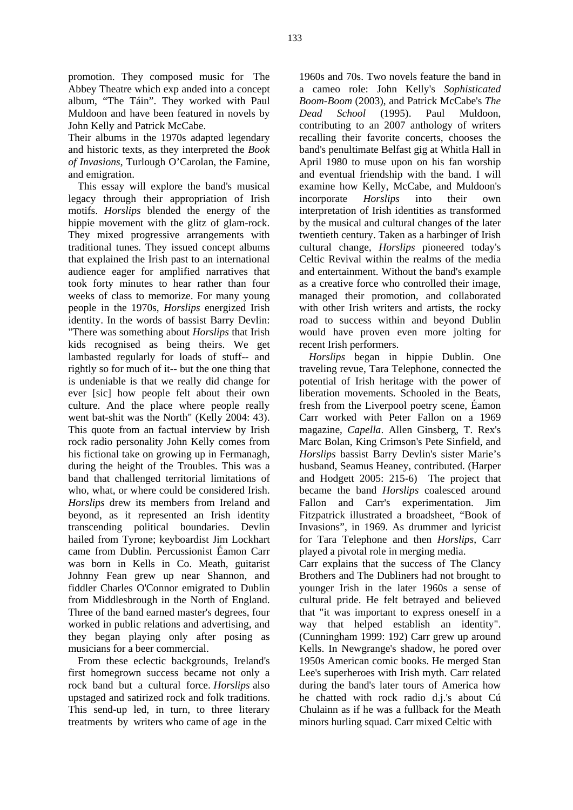promotion. They composed music for The Abbey Theatre which exp anded into a concept album, "The Táin". They worked with Paul Muldoon and have been featured in novels by John Kelly and Patrick McCabe.

Their albums in the 1970s adapted legendary and historic texts, as they interpreted the *Book of Invasions*, Turlough O'Carolan, the Famine, and emigration.

This essay will explore the band's musical legacy through their appropriation of Irish motifs. *Horslips* blended the energy of the hippie movement with the glitz of glam-rock. They mixed progressive arrangements with traditional tunes. They issued concept albums that explained the Irish past to an international audience eager for amplified narratives that took forty minutes to hear rather than four weeks of class to memorize. For many young people in the 1970s, *Horslips* energized Irish identity. In the words of bassist Barry Devlin: "There was something about *Horslips* that Irish kids recognised as being theirs. We get lambasted regularly for loads of stuff-- and rightly so for much of it-- but the one thing that is undeniable is that we really did change for ever [sic] how people felt about their own culture. And the place where people really went bat-shit was the North" (Kelly 2004: 43). This quote from an factual interview by Irish rock radio personality John Kelly comes from his fictional take on growing up in Fermanagh, during the height of the Troubles. This was a band that challenged territorial limitations of who, what, or where could be considered Irish. *Horslips* drew its members from Ireland and beyond, as it represented an Irish identity transcending political boundaries. Devlin hailed from Tyrone; keyboardist Jim Lockhart came from Dublin. Percussionist Éamon Carr was born in Kells in Co. Meath, guitarist Johnny Fean grew up near Shannon, and fiddler Charles O'Connor emigrated to Dublin from Middlesbrough in the North of England. Three of the band earned master's degrees, four worked in public relations and advertising, and they began playing only after posing as musicians for a beer commercial.

From these eclectic backgrounds, Ireland's first homegrown success became not only a rock band but a cultural force. *Horslips* also upstaged and satirized rock and folk traditions. This send-up led, in turn, to three literary treatments by writers who came of age in the

1960s and 70s. Two novels feature the band in a cameo role: John Kelly's *Sophisticated Boom-Boom* (2003), and Patrick McCabe's *The Dead School* (1995). Paul Muldoon, contributing to an 2007 anthology of writers recalling their favorite concerts, chooses the band's penultimate Belfast gig at Whitla Hall in April 1980 to muse upon on his fan worship and eventual friendship with the band. I will examine how Kelly, McCabe, and Muldoon's incorporate *Horslips* into their own interpretation of Irish identities as transformed by the musical and cultural changes of the later twentieth century. Taken as a harbinger of Irish cultural change, *Horslips* pioneered today's Celtic Revival within the realms of the media and entertainment. Without the band's example as a creative force who controlled their image, managed their promotion, and collaborated with other Irish writers and artists, the rocky road to success within and beyond Dublin would have proven even more jolting for recent Irish performers.

*Horslips* began in hippie Dublin. One traveling revue, Tara Telephone, connected the potential of Irish heritage with the power of liberation movements. Schooled in the Beats, fresh from the Liverpool poetry scene, Éamon Carr worked with Peter Fallon on a 1969 magazine, *Capella*. Allen Ginsberg, T. Rex's Marc Bolan, King Crimson's Pete Sinfield, and *Horslips* bassist Barry Devlin's sister Marie's husband, Seamus Heaney, contributed. (Harper and Hodgett 2005: 215-6) The project that became the band *Horslips* coalesced around Fallon and Carr's experimentation. Jim Fitzpatrick illustrated a broadsheet, "Book of Invasions", in 1969. As drummer and lyricist for Tara Telephone and then *Horslips*, Carr played a pivotal role in merging media.

Carr explains that the success of The Clancy Brothers and The Dubliners had not brought to younger Irish in the later 1960s a sense of cultural pride. He felt betrayed and believed that "it was important to express oneself in a way that helped establish an identity". (Cunningham 1999: 192) Carr grew up around Kells. In Newgrange's shadow, he pored over 1950s American comic books. He merged Stan Lee's superheroes with Irish myth. Carr related during the band's later tours of America how he chatted with rock radio d.j.'s about Cú Chulainn as if he was a fullback for the Meath minors hurling squad. Carr mixed Celtic with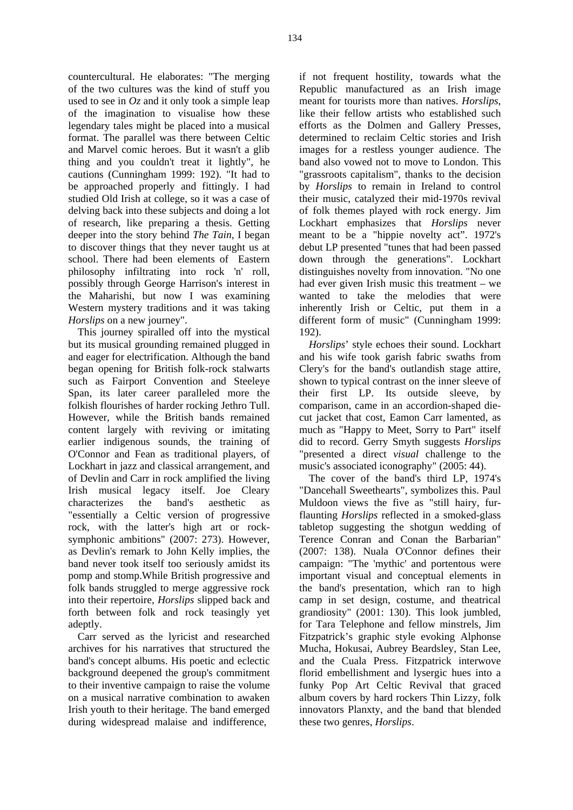countercultural. He elaborates: "The merging of the two cultures was the kind of stuff you used to see in *Oz* and it only took a simple leap of the imagination to visualise how these legendary tales might be placed into a musical format. The parallel was there between Celtic and Marvel comic heroes. But it wasn't a glib thing and you couldn't treat it lightly", he cautions (Cunningham 1999: 192). "It had to be approached properly and fittingly. I had studied Old Irish at college, so it was a case of delving back into these subjects and doing a lot of research, like preparing a thesis. Getting deeper into the story behind *The Tain*, I began to discover things that they never taught us at school. There had been elements of Eastern philosophy infiltrating into rock 'n' roll, possibly through George Harrison's interest in the Maharishi, but now I was examining Western mystery traditions and it was taking *Horslips* on a new journey".

This journey spiralled off into the mystical but its musical grounding remained plugged in and eager for electrification. Although the band began opening for British folk-rock stalwarts such as Fairport Convention and Steeleye Span, its later career paralleled more the folkish flourishes of harder rocking Jethro Tull. However, while the British bands remained content largely with reviving or imitating earlier indigenous sounds, the training of O'Connor and Fean as traditional players, of Lockhart in jazz and classical arrangement, and of Devlin and Carr in rock amplified the living Irish musical legacy itself. Joe Cleary characterizes the band's aesthetic as "essentially a Celtic version of progressive rock, with the latter's high art or rocksymphonic ambitions" (2007: 273). However, as Devlin's remark to John Kelly implies, the band never took itself too seriously amidst its pomp and stomp.While British progressive and folk bands struggled to merge aggressive rock into their repertoire, *Horslips* slipped back and forth between folk and rock teasingly yet adeptly.

Carr served as the lyricist and researched archives for his narratives that structured the band's concept albums. His poetic and eclectic background deepened the group's commitment to their inventive campaign to raise the volume on a musical narrative combination to awaken Irish youth to their heritage. The band emerged during widespread malaise and indifference,

if not frequent hostility, towards what the Republic manufactured as an Irish image meant for tourists more than natives. *Horslips*, like their fellow artists who established such efforts as the Dolmen and Gallery Presses, determined to reclaim Celtic stories and Irish images for a restless younger audience. The band also vowed not to move to London. This "grassroots capitalism", thanks to the decision by *Horslips* to remain in Ireland to control their music, catalyzed their mid-1970s revival of folk themes played with rock energy. Jim Lockhart emphasizes that *Horslips* never meant to be a "hippie novelty act". 1972's debut LP presented "tunes that had been passed down through the generations". Lockhart distinguishes novelty from innovation. "No one had ever given Irish music this treatment – we wanted to take the melodies that were inherently Irish or Celtic, put them in a different form of music" (Cunningham 1999: 192).

*Horslips*' style echoes their sound. Lockhart and his wife took garish fabric swaths from Clery's for the band's outlandish stage attire, shown to typical contrast on the inner sleeve of their first LP. Its outside sleeve, by comparison, came in an accordion-shaped diecut jacket that cost, Eamon Carr lamented, as much as "Happy to Meet, Sorry to Part" itself did to record. Gerry Smyth suggests *Horslips* "presented a direct *visual* challenge to the music's associated iconography" (2005: 44).

The cover of the band's third LP, 1974's "Dancehall Sweethearts", symbolizes this. Paul Muldoon views the five as "still hairy, furflaunting *Horslips* reflected in a smoked-glass tabletop suggesting the shotgun wedding of Terence Conran and Conan the Barbarian" (2007: 138). Nuala O'Connor defines their campaign: "The 'mythic' and portentous were important visual and conceptual elements in the band's presentation, which ran to high camp in set design, costume, and theatrical grandiosity" (2001: 130). This look jumbled, for Tara Telephone and fellow minstrels, Jim Fitzpatrick's graphic style evoking Alphonse Mucha, Hokusai, Aubrey Beardsley, Stan Lee, and the Cuala Press. Fitzpatrick interwove florid embellishment and lysergic hues into a funky Pop Art Celtic Revival that graced album covers by hard rockers Thin Lizzy, folk innovators Planxty, and the band that blended these two genres, *Horslips*.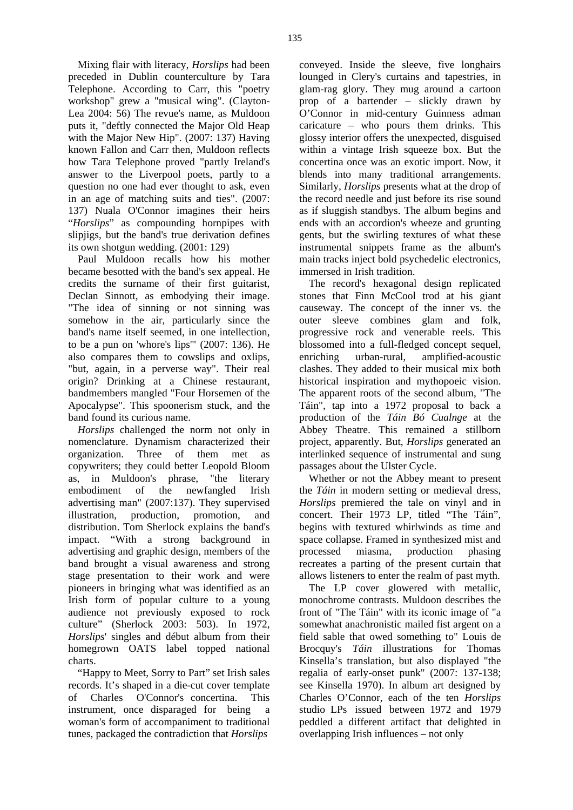Mixing flair with literacy, *Horslips* had been preceded in Dublin counterculture by Tara Telephone. According to Carr, this "poetry workshop" grew a "musical wing". (Clayton-Lea 2004: 56) The revue's name, as Muldoon puts it, "deftly connected the Major Old Heap with the Major New Hip". (2007: 137) Having known Fallon and Carr then, Muldoon reflects how Tara Telephone proved "partly Ireland's answer to the Liverpool poets, partly to a question no one had ever thought to ask, even in an age of matching suits and ties". (2007: 137) Nuala O'Connor imagines their heirs "*Horslips*" as compounding hornpipes with slipjigs, but the band's true derivation defines its own shotgun wedding. (2001: 129)

Paul Muldoon recalls how his mother became besotted with the band's sex appeal. He credits the surname of their first guitarist, Declan Sinnott, as embodying their image. "The idea of sinning or not sinning was somehow in the air, particularly since the band's name itself seemed, in one intellection, to be a pun on 'whore's lips'" (2007: 136). He also compares them to cowslips and oxlips, "but, again, in a perverse way". Their real origin? Drinking at a Chinese restaurant, bandmembers mangled "Four Horsemen of the Apocalypse". This spoonerism stuck, and the band found its curious name.

*Horslips* challenged the norm not only in nomenclature. Dynamism characterized their organization. Three of them met as copywriters; they could better Leopold Bloom as, in Muldoon's phrase, "the literary embodiment of the newfangled Irish advertising man" (2007:137). They supervised illustration, production, promotion, and distribution. Tom Sherlock explains the band's impact. "With a strong background in advertising and graphic design, members of the band brought a visual awareness and strong stage presentation to their work and were pioneers in bringing what was identified as an Irish form of popular culture to a young audience not previously exposed to rock culture" (Sherlock 2003: 503). In 1972, *Horslips*' singles and début album from their homegrown OATS label topped national charts.

"Happy to Meet, Sorry to Part" set Irish sales records. It's shaped in a die-cut cover template of Charles O'Connor's concertina. This instrument, once disparaged for being a woman's form of accompaniment to traditional tunes, packaged the contradiction that *Horslips*

conveyed. Inside the sleeve, five longhairs lounged in Clery's curtains and tapestries, in glam-rag glory. They mug around a cartoon prop of a bartender – slickly drawn by O'Connor in mid-century Guinness adman caricature – who pours them drinks. This glossy interior offers the unexpected, disguised within a vintage Irish squeeze box. But the concertina once was an exotic import. Now, it blends into many traditional arrangements. Similarly, *Horslips* presents what at the drop of the record needle and just before its rise sound as if sluggish standbys. The album begins and ends with an accordion's wheeze and grunting gents, but the swirling textures of what these instrumental snippets frame as the album's main tracks inject bold psychedelic electronics, immersed in Irish tradition.

The record's hexagonal design replicated stones that Finn McCool trod at his giant causeway. The concept of the inner vs. the outer sleeve combines glam and folk, progressive rock and venerable reels. This blossomed into a full-fledged concept sequel, enriching urban-rural, amplified-acoustic clashes. They added to their musical mix both historical inspiration and mythopoeic vision. The apparent roots of the second album, "The Táin", tap into a 1972 proposal to back a production of the *Táin Bó Cualnge* at the Abbey Theatre. This remained a stillborn project, apparently. But, *Horslips* generated an interlinked sequence of instrumental and sung passages about the Ulster Cycle.

Whether or not the Abbey meant to present the *Táin* in modern setting or medieval dress, *Horslips* premiered the tale on vinyl and in concert. Their 1973 LP, titled "The Táin", begins with textured whirlwinds as time and space collapse. Framed in synthesized mist and processed miasma, production phasing recreates a parting of the present curtain that allows listeners to enter the realm of past myth.

The LP cover glowered with metallic, monochrome contrasts. Muldoon describes the front of "The Táin" with its iconic image of "a somewhat anachronistic mailed fist argent on a field sable that owed something to" Louis de Brocquy's *Táin* illustrations for Thomas Kinsella's translation, but also displayed "the regalia of early-onset punk" (2007: 137-138; see Kinsella 1970). In album art designed by Charles O'Connor, each of the ten *Horslips* studio LPs issued between 1972 and 1979 peddled a different artifact that delighted in overlapping Irish influences – not only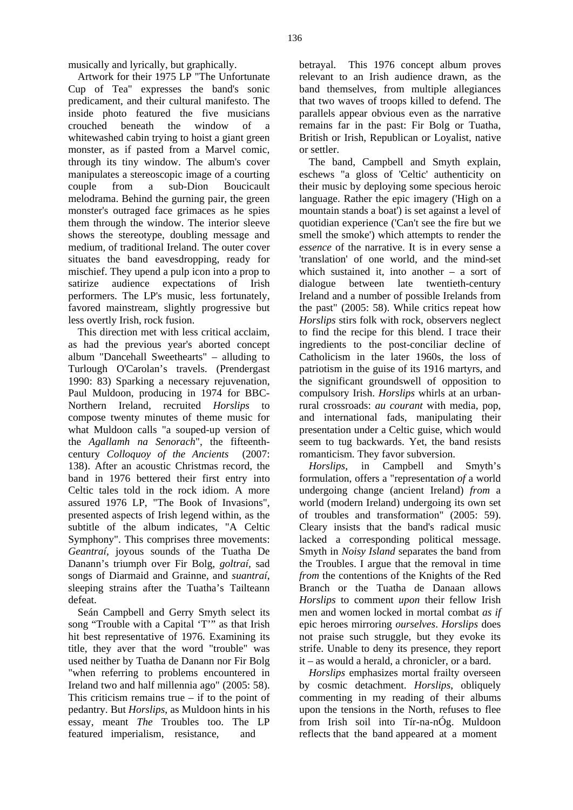musically and lyrically, but graphically.

Artwork for their 1975 LP "The Unfortunate Cup of Tea" expresses the band's sonic predicament, and their cultural manifesto. The inside photo featured the five musicians crouched beneath the window of a whitewashed cabin trying to hoist a giant green monster, as if pasted from a Marvel comic, through its tiny window. The album's cover manipulates a stereoscopic image of a courting couple from a sub-Dion Boucicault melodrama. Behind the gurning pair, the green monster's outraged face grimaces as he spies them through the window. The interior sleeve shows the stereotype, doubling message and medium, of traditional Ireland. The outer cover situates the band eavesdropping, ready for mischief. They upend a pulp icon into a prop to satirize audience expectations of Irish performers. The LP's music, less fortunately, favored mainstream, slightly progressive but less overtly Irish, rock fusion.

This direction met with less critical acclaim, as had the previous year's aborted concept album "Dancehall Sweethearts" – alluding to Turlough O'Carolan's travels. (Prendergast 1990: 83) Sparking a necessary rejuvenation, Paul Muldoon, producing in 1974 for BBC-Northern Ireland, recruited *Horslips* to compose twenty minutes of theme music for what Muldoon calls "a souped-up version of the *Agallamh na Senorach*", the fifteenthcentury *Colloquoy of the Ancients* (2007: 138). After an acoustic Christmas record, the band in 1976 bettered their first entry into Celtic tales told in the rock idiom. A more assured 1976 LP, "The Book of Invasions", presented aspects of Irish legend within, as the subtitle of the album indicates, "A Celtic Symphony". This comprises three movements: *Geantraí,* joyous sounds of the Tuatha De Danann's triumph over Fir Bolg, *goltraí,* sad songs of Diarmaid and Grainne, and *suantraí*, sleeping strains after the Tuatha's Tailteann defeat.

Seán Campbell and Gerry Smyth select its song "Trouble with a Capital 'T'" as that Irish hit best representative of 1976. Examining its title, they aver that the word "trouble" was used neither by Tuatha de Danann nor Fir Bolg "when referring to problems encountered in Ireland two and half millennia ago" (2005: 58). This criticism remains true  $-$  if to the point of pedantry. But *Horslips*, as Muldoon hints in his essay, meant *The* Troubles too. The LP featured imperialism, resistance, and

betrayal. This 1976 concept album proves relevant to an Irish audience drawn, as the band themselves, from multiple allegiances that two waves of troops killed to defend. The parallels appear obvious even as the narrative remains far in the past: Fir Bolg or Tuatha, British or Irish, Republican or Loyalist, native or settler.

The band, Campbell and Smyth explain, eschews "a gloss of 'Celtic' authenticity on their music by deploying some specious heroic language. Rather the epic imagery ('High on a mountain stands a boat') is set against a level of quotidian experience ('Can't see the fire but we smell the smoke') which attempts to render the *essence* of the narrative. It is in every sense a 'translation' of one world, and the mind-set which sustained it, into another – a sort of dialogue between late twentieth-century Ireland and a number of possible Irelands from the past" (2005: 58). While critics repeat how *Horslips* stirs folk with rock, observers neglect to find the recipe for this blend. I trace their ingredients to the post-conciliar decline of Catholicism in the later 1960s, the loss of patriotism in the guise of its 1916 martyrs, and the significant groundswell of opposition to compulsory Irish. *Horslips* whirls at an urbanrural crossroads: *au courant* with media, pop, and international fads, manipulating their presentation under a Celtic guise, which would seem to tug backwards. Yet, the band resists romanticism. They favor subversion.

*Horslips*, in Campbell and Smyth's formulation, offers a "representation *of* a world undergoing change (ancient Ireland) *from* a world (modern Ireland) undergoing its own set of troubles and transformation" (2005: 59). Cleary insists that the band's radical music lacked a corresponding political message. Smyth in *Noisy Island* separates the band from the Troubles. I argue that the removal in time *from* the contentions of the Knights of the Red Branch or the Tuatha de Danaan allows *Horslips* to comment *upon* their fellow Irish men and women locked in mortal combat *as if*  epic heroes mirroring *ourselves*. *Horslips* does not praise such struggle, but they evoke its strife. Unable to deny its presence, they report it – as would a herald, a chronicler, or a bard.

*Horslips* emphasizes mortal frailty overseen by cosmic detachment. *Horslips*, obliquely commenting in my reading of their albums upon the tensions in the North, refuses to flee from Irish soil into Tír-na-nÓg. Muldoon reflects that the band appeared at a moment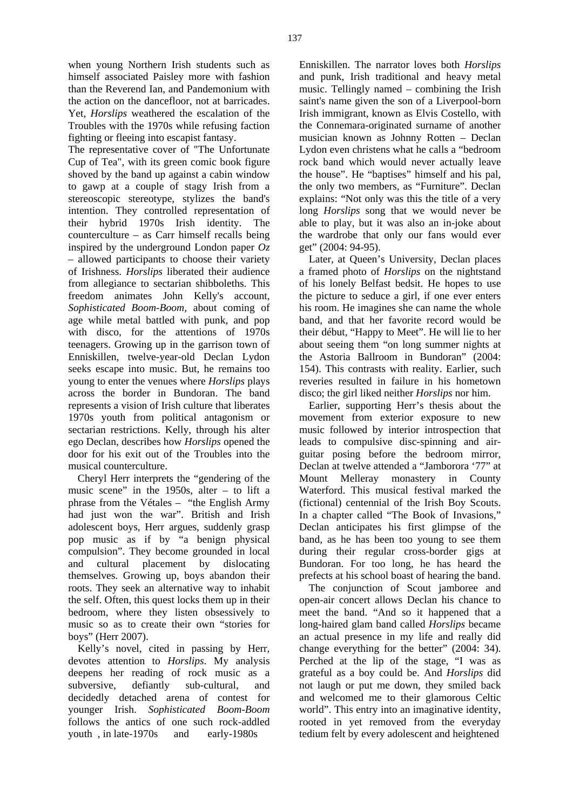when young Northern Irish students such as himself associated Paisley more with fashion than the Reverend Ian, and Pandemonium with the action on the dancefloor, not at barricades. Yet, *Horslips* weathered the escalation of the Troubles with the 1970s while refusing faction fighting or fleeing into escapist fantasy.

The representative cover of "The Unfortunate Cup of Tea", with its green comic book figure shoved by the band up against a cabin window to gawp at a couple of stagy Irish from a stereoscopic stereotype, stylizes the band's intention. They controlled representation of their hybrid 1970s Irish identity. The counterculture – as Carr himself recalls being inspired by the underground London paper *Oz* – allowed participants to choose their variety of Irishness. *Horslips* liberated their audience from allegiance to sectarian shibboleths. This freedom animates John Kelly's account, *Sophisticated Boom-Boom,* about coming of age while metal battled with punk, and pop with disco, for the attentions of 1970s teenagers. Growing up in the garrison town of Enniskillen, twelve-year-old Declan Lydon seeks escape into music. But, he remains too young to enter the venues where *Horslips* plays across the border in Bundoran. The band represents a vision of Irish culture that liberates 1970s youth from political antagonism or sectarian restrictions. Kelly, through his alter ego Declan, describes how *Horslips* opened the door for his exit out of the Troubles into the musical counterculture.

Cheryl Herr interprets the "gendering of the music scene" in the 1950s, alter  $-$  to lift a phrase from the Vétales – "the English Army had just won the war". British and Irish adolescent boys, Herr argues, suddenly grasp pop music as if by "a benign physical compulsion". They become grounded in local and cultural placement by dislocating themselves. Growing up, boys abandon their roots. They seek an alternative way to inhabit the self. Often, this quest locks them up in their bedroom, where they listen obsessively to music so as to create their own "stories for boys" (Herr 2007).

Kelly's novel, cited in passing by Herr, devotes attention to *Horslips*. My analysis deepens her reading of rock music as a subversive, defiantly sub-cultural, and decidedly detached arena of contest for younger Irish. *Sophisticated Boom-Boom* follows the antics of one such rock-addled youth , in late-1970s and early-1980s

Enniskillen. The narrator loves both *Horslips* and punk, Irish traditional and heavy metal music. Tellingly named – combining the Irish saint's name given the son of a Liverpool-born Irish immigrant, known as Elvis Costello, with the Connemara-originated surname of another musician known as Johnny Rotten – Declan Lydon even christens what he calls a "bedroom rock band which would never actually leave the house". He "baptises" himself and his pal, the only two members, as "Furniture". Declan explains: "Not only was this the title of a very long *Horslips* song that we would never be able to play, but it was also an in-joke about the wardrobe that only our fans would ever get" (2004: 94-95).

Later, at Queen's University, Declan places a framed photo of *Horslips* on the nightstand of his lonely Belfast bedsit. He hopes to use the picture to seduce a girl, if one ever enters his room. He imagines she can name the whole band, and that her favorite record would be their début, "Happy to Meet". He will lie to her about seeing them "on long summer nights at the Astoria Ballroom in Bundoran" (2004: 154). This contrasts with reality. Earlier, such reveries resulted in failure in his hometown disco; the girl liked neither *Horslips* nor him.

Earlier, supporting Herr's thesis about the movement from exterior exposure to new music followed by interior introspection that leads to compulsive disc-spinning and airguitar posing before the bedroom mirror, Declan at twelve attended a "Jamborora '77" at Mount Melleray monastery in County Waterford. This musical festival marked the (fictional) centennial of the Irish Boy Scouts. In a chapter called "The Book of Invasions," Declan anticipates his first glimpse of the band, as he has been too young to see them during their regular cross-border gigs at Bundoran. For too long, he has heard the prefects at his school boast of hearing the band.

The conjunction of Scout jamboree and open-air concert allows Declan his chance to meet the band. "And so it happened that a long-haired glam band called *Horslips* became an actual presence in my life and really did change everything for the better" (2004: 34). Perched at the lip of the stage, "I was as grateful as a boy could be. And *Horslips* did not laugh or put me down, they smiled back and welcomed me to their glamorous Celtic world". This entry into an imaginative identity, rooted in yet removed from the everyday tedium felt by every adolescent and heightened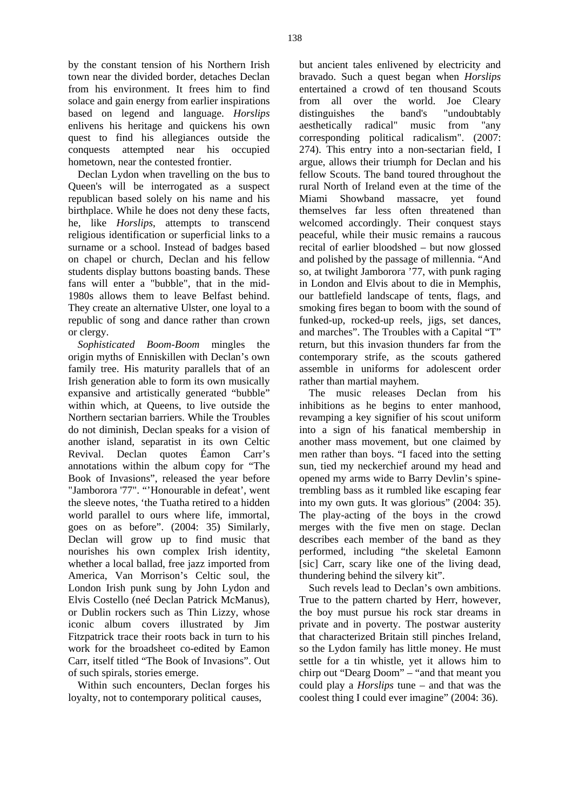by the constant tension of his Northern Irish town near the divided border, detaches Declan from his environment. It frees him to find solace and gain energy from earlier inspirations based on legend and language. *Horslips* enlivens his heritage and quickens his own quest to find his allegiances outside the conquests attempted near his occupied hometown, near the contested frontier.

Declan Lydon when travelling on the bus to Queen's will be interrogated as a suspect republican based solely on his name and his birthplace. While he does not deny these facts, he, like *Horslips*, attempts to transcend religious identification or superficial links to a surname or a school. Instead of badges based on chapel or church, Declan and his fellow students display buttons boasting bands. These fans will enter a "bubble", that in the mid-1980s allows them to leave Belfast behind. They create an alternative Ulster, one loyal to a republic of song and dance rather than crown or clergy.

*Sophisticated Boom-Boom* mingles the origin myths of Enniskillen with Declan's own family tree. His maturity parallels that of an Irish generation able to form its own musically expansive and artistically generated "bubble" within which, at Queens, to live outside the Northern sectarian barriers. While the Troubles do not diminish, Declan speaks for a vision of another island, separatist in its own Celtic Revival. Declan quotes Éamon Carr's annotations within the album copy for "The Book of Invasions", released the year before "Jamborora '77". "'Honourable in defeat', went the sleeve notes, 'the Tuatha retired to a hidden world parallel to ours where life, immortal, goes on as before". (2004: 35) Similarly, Declan will grow up to find music that nourishes his own complex Irish identity, whether a local ballad, free jazz imported from America, Van Morrison's Celtic soul, the London Irish punk sung by John Lydon and Elvis Costello (neé Declan Patrick McManus), or Dublin rockers such as Thin Lizzy, whose iconic album covers illustrated by Jim Fitzpatrick trace their roots back in turn to his work for the broadsheet co-edited by Eamon Carr, itself titled "The Book of Invasions". Out of such spirals, stories emerge.

Within such encounters, Declan forges his loyalty, not to contemporary political causes,

but ancient tales enlivened by electricity and bravado. Such a quest began when *Horslips* entertained a crowd of ten thousand Scouts from all over the world. Joe Cleary distinguishes the band's "undoubtably aesthetically radical" music from "any corresponding political radicalism". (2007: 274). This entry into a non-sectarian field, I argue, allows their triumph for Declan and his fellow Scouts. The band toured throughout the rural North of Ireland even at the time of the Miami Showband massacre, yet found themselves far less often threatened than welcomed accordingly. Their conquest stays peaceful, while their music remains a raucous recital of earlier bloodshed – but now glossed and polished by the passage of millennia. "And so, at twilight Jamborora '77, with punk raging in London and Elvis about to die in Memphis, our battlefield landscape of tents, flags, and smoking fires began to boom with the sound of funked-up, rocked-up reels, jigs, set dances, and marches". The Troubles with a Capital "T" return, but this invasion thunders far from the contemporary strife, as the scouts gathered assemble in uniforms for adolescent order rather than martial mayhem.

The music releases Declan from his inhibitions as he begins to enter manhood, revamping a key signifier of his scout uniform into a sign of his fanatical membership in another mass movement, but one claimed by men rather than boys. "I faced into the setting sun, tied my neckerchief around my head and opened my arms wide to Barry Devlin's spinetrembling bass as it rumbled like escaping fear into my own guts. It was glorious" (2004: 35). The play-acting of the boys in the crowd merges with the five men on stage. Declan describes each member of the band as they performed, including "the skeletal Eamonn [sic] Carr, scary like one of the living dead, thundering behind the silvery kit".

Such revels lead to Declan's own ambitions. True to the pattern charted by Herr, however, the boy must pursue his rock star dreams in private and in poverty. The postwar austerity that characterized Britain still pinches Ireland, so the Lydon family has little money. He must settle for a tin whistle, yet it allows him to chirp out "Dearg Doom" – "and that meant you could play a *Horslips* tune – and that was the coolest thing I could ever imagine" (2004: 36).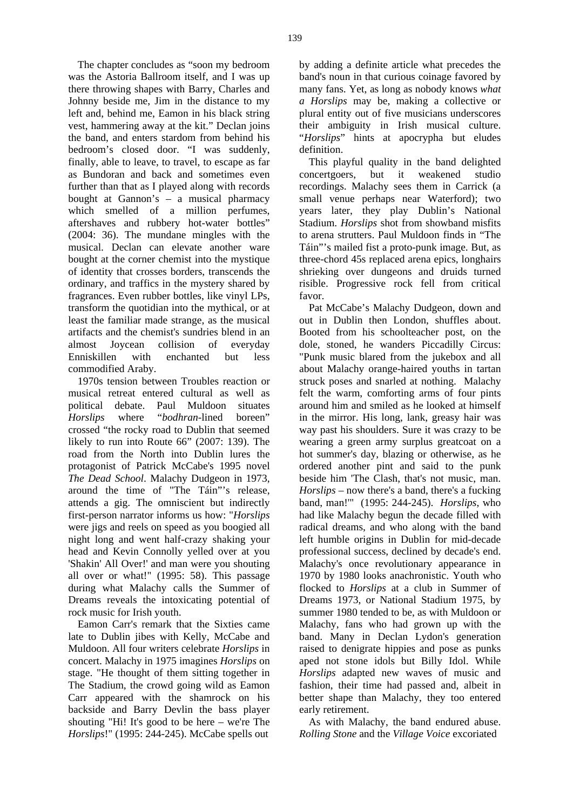The chapter concludes as "soon my bedroom was the Astoria Ballroom itself, and I was up there throwing shapes with Barry, Charles and Johnny beside me, Jim in the distance to my left and, behind me, Eamon in his black string vest, hammering away at the kit." Declan joins the band, and enters stardom from behind his bedroom's closed door. "I was suddenly, finally, able to leave, to travel, to escape as far as Bundoran and back and sometimes even further than that as I played along with records bought at Gannon's – a musical pharmacy which smelled of a million perfumes, aftershaves and rubbery hot-water bottles" (2004: 36). The mundane mingles with the musical. Declan can elevate another ware bought at the corner chemist into the mystique of identity that crosses borders, transcends the ordinary, and traffics in the mystery shared by fragrances. Even rubber bottles, like vinyl LPs, transform the quotidian into the mythical, or at least the familiar made strange, as the musical artifacts and the chemist's sundries blend in an almost Joycean collision of everyday Enniskillen with enchanted but less commodified Araby.

1970s tension between Troubles reaction or musical retreat entered cultural as well as political debate. Paul Muldoon situates *Horslips* where "*bodhran*-lined boreen" crossed "the rocky road to Dublin that seemed likely to run into Route 66" (2007: 139). The road from the North into Dublin lures the protagonist of Patrick McCabe's 1995 novel *The Dead School*. Malachy Dudgeon in 1973, around the time of "The Táin"'s release, attends a gig. The omniscient but indirectly first-person narrator informs us how: "*Horslips* were jigs and reels on speed as you boogied all night long and went half-crazy shaking your head and Kevin Connolly yelled over at you 'Shakin' All Over!' and man were you shouting all over or what!" (1995: 58). This passage during what Malachy calls the Summer of Dreams reveals the intoxicating potential of rock music for Irish youth.

Eamon Carr's remark that the Sixties came late to Dublin jibes with Kelly, McCabe and Muldoon. All four writers celebrate *Horslips* in concert. Malachy in 1975 imagines *Horslips* on stage. "He thought of them sitting together in The Stadium, the crowd going wild as Eamon Carr appeared with the shamrock on his backside and Barry Devlin the bass player shouting "Hi! It's good to be here – we're The *Horslips*!" (1995: 244-245). McCabe spells out

by adding a definite article what precedes the band's noun in that curious coinage favored by many fans. Yet, as long as nobody knows *what a Horslips* may be, making a collective or plural entity out of five musicians underscores their ambiguity in Irish musical culture. "*Horslips*" hints at apocrypha but eludes definition.

This playful quality in the band delighted concertgoers, but it weakened studio recordings. Malachy sees them in Carrick (a small venue perhaps near Waterford); two years later, they play Dublin's National Stadium. *Horslips* shot from showband misfits to arena strutters. Paul Muldoon finds in "The Táin"'s mailed fist a proto-punk image. But, as three-chord 45s replaced arena epics, longhairs shrieking over dungeons and druids turned risible. Progressive rock fell from critical favor.

Pat McCabe's Malachy Dudgeon, down and out in Dublin then London, shuffles about. Booted from his schoolteacher post, on the dole, stoned, he wanders Piccadilly Circus: "Punk music blared from the jukebox and all about Malachy orange-haired youths in tartan struck poses and snarled at nothing. Malachy felt the warm, comforting arms of four pints around him and smiled as he looked at himself in the mirror. His long, lank, greasy hair was way past his shoulders. Sure it was crazy to be wearing a green army surplus greatcoat on a hot summer's day, blazing or otherwise, as he ordered another pint and said to the punk beside him 'The Clash, that's not music, man. *Horslips* – now there's a band, there's a fucking band, man!'" (1995: 244-245). *Horslips*, who had like Malachy begun the decade filled with radical dreams, and who along with the band left humble origins in Dublin for mid-decade professional success, declined by decade's end. Malachy's once revolutionary appearance in 1970 by 1980 looks anachronistic. Youth who flocked to *Horslips* at a club in Summer of Dreams 1973, or National Stadium 1975, by summer 1980 tended to be, as with Muldoon or Malachy, fans who had grown up with the band. Many in Declan Lydon's generation raised to denigrate hippies and pose as punks aped not stone idols but Billy Idol. While *Horslips* adapted new waves of music and fashion, their time had passed and, albeit in better shape than Malachy, they too entered early retirement.

As with Malachy, the band endured abuse. *Rolling Stone* and the *Village Voice* excoriated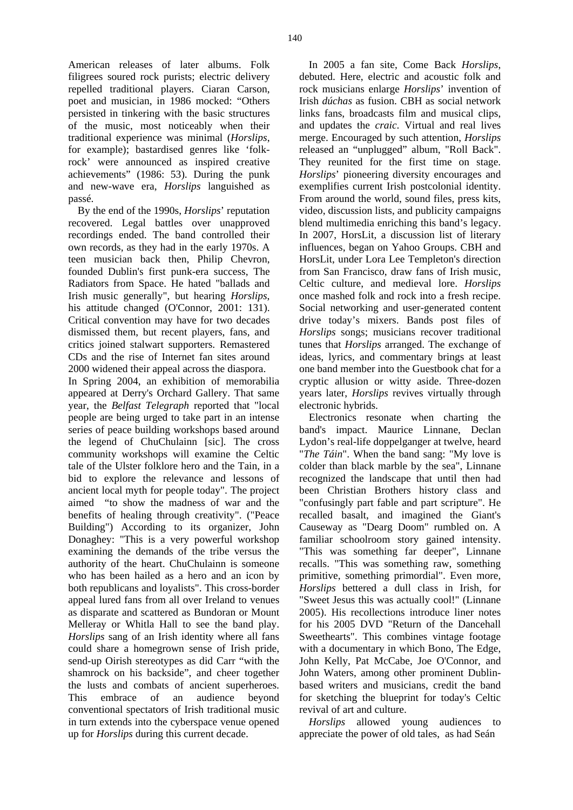American releases of later albums. Folk filigrees soured rock purists; electric delivery repelled traditional players. Ciaran Carson, poet and musician, in 1986 mocked: "Others persisted in tinkering with the basic structures of the music, most noticeably when their traditional experience was minimal (*Horslips*, for example); bastardised genres like 'folkrock' were announced as inspired creative achievements" (1986: 53). During the punk and new-wave era, *Horslips* languished as passé.

By the end of the 1990s, *Horslips*' reputation recovered. Legal battles over unapproved recordings ended. The band controlled their own records, as they had in the early 1970s. A teen musician back then, Philip Chevron, founded Dublin's first punk-era success, The Radiators from Space. He hated "ballads and Irish music generally", but hearing *Horslips*, his attitude changed (O'Connor, 2001: 131). Critical convention may have for two decades dismissed them, but recent players, fans, and critics joined stalwart supporters. Remastered CDs and the rise of Internet fan sites around 2000 widened their appeal across the diaspora.

In Spring 2004, an exhibition of memorabilia appeared at Derry's Orchard Gallery. That same year, the *Belfast Telegraph* reported that "local people are being urged to take part in an intense series of peace building workshops based around the legend of ChuChulainn [sic]. The cross community workshops will examine the Celtic tale of the Ulster folklore hero and the Tain, in a bid to explore the relevance and lessons of ancient local myth for people today". The project aimed "to show the madness of war and the benefits of healing through creativity". ("Peace Building") According to its organizer, John Donaghey: "This is a very powerful workshop examining the demands of the tribe versus the authority of the heart. ChuChulainn is someone who has been hailed as a hero and an icon by both republicans and loyalists". This cross-border appeal lured fans from all over Ireland to venues as disparate and scattered as Bundoran or Mount Melleray or Whitla Hall to see the band play. *Horslips* sang of an Irish identity where all fans could share a homegrown sense of Irish pride, send-up Oirish stereotypes as did Carr "with the shamrock on his backside", and cheer together the lusts and combats of ancient superheroes. This embrace of an audience beyond conventional spectators of Irish traditional music in turn extends into the cyberspace venue opened up for *Horslips* during this current decade.

In 2005 a fan site, Come Back *Horslips*, debuted. Here, electric and acoustic folk and rock musicians enlarge *Horslips*' invention of Irish *dúchas* as fusion. CBH as social network links fans, broadcasts film and musical clips, and updates the *craic*. Virtual and real lives merge. Encouraged by such attention, *Horslips* released an "unplugged" album, "Roll Back". They reunited for the first time on stage. *Horslips*' pioneering diversity encourages and exemplifies current Irish postcolonial identity. From around the world, sound files, press kits, video, discussion lists, and publicity campaigns blend multimedia enriching this band's legacy. In 2007, HorsLit, a discussion list of literary influences, began on Yahoo Groups. CBH and HorsLit, under Lora Lee Templeton's direction from San Francisco, draw fans of Irish music, Celtic culture, and medieval lore. *Horslips* once mashed folk and rock into a fresh recipe. Social networking and user-generated content drive today's mixers. Bands post files of *Horslips* songs; musicians recover traditional tunes that *Horslips* arranged. The exchange of ideas, lyrics, and commentary brings at least one band member into the Guestbook chat for a cryptic allusion or witty aside. Three-dozen years later, *Horslips* revives virtually through electronic hybrids.

Electronics resonate when charting the band's impact. Maurice Linnane, Declan Lydon's real-life doppelganger at twelve, heard "*The Táin*". When the band sang: "My love is colder than black marble by the sea", Linnane recognized the landscape that until then had been Christian Brothers history class and "confusingly part fable and part scripture". He recalled basalt, and imagined the Giant's Causeway as "Dearg Doom" rumbled on. A familiar schoolroom story gained intensity. "This was something far deeper", Linnane recalls. "This was something raw, something primitive, something primordial". Even more, *Horslips* bettered a dull class in Irish, for "Sweet Jesus this was actually cool!" (Linnane 2005). His recollections introduce liner notes for his 2005 DVD "Return of the Dancehall Sweethearts". This combines vintage footage with a documentary in which Bono, The Edge, John Kelly, Pat McCabe, Joe O'Connor, and John Waters, among other prominent Dublinbased writers and musicians, credit the band for sketching the blueprint for today's Celtic revival of art and culture.

*Horslips* allowed young audiences to appreciate the power of old tales, as had Seán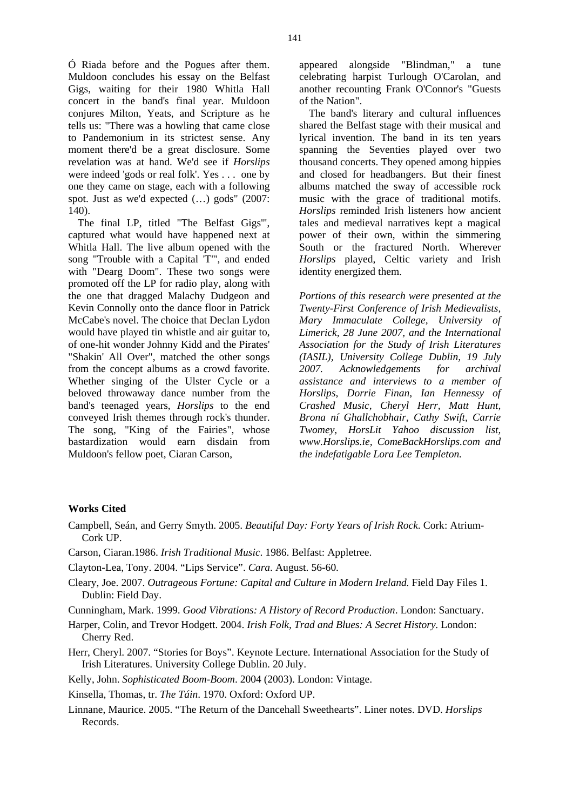Ó Riada before and the Pogues after them. Muldoon concludes his essay on the Belfast Gigs, waiting for their 1980 Whitla Hall concert in the band's final year. Muldoon conjures Milton, Yeats, and Scripture as he tells us: "There was a howling that came close to Pandemonium in its strictest sense. Any moment there'd be a great disclosure. Some revelation was at hand. We'd see if *Horslips* were indeed 'gods or real folk'. Yes . . . one by one they came on stage, each with a following spot. Just as we'd expected (…) gods" (2007: 140).

The final LP, titled "The Belfast Gigs'", captured what would have happened next at Whitla Hall. The live album opened with the song "Trouble with a Capital 'T'", and ended with "Dearg Doom". These two songs were promoted off the LP for radio play, along with the one that dragged Malachy Dudgeon and Kevin Connolly onto the dance floor in Patrick McCabe's novel. The choice that Declan Lydon would have played tin whistle and air guitar to, of one-hit wonder Johnny Kidd and the Pirates' "Shakin' All Over", matched the other songs from the concept albums as a crowd favorite. Whether singing of the Ulster Cycle or a beloved throwaway dance number from the band's teenaged years, *Horslips* to the end conveyed Irish themes through rock's thunder. The song, "King of the Fairies", whose bastardization would earn disdain from Muldoon's fellow poet, Ciaran Carson,

appeared alongside "Blindman," a tune celebrating harpist Turlough O'Carolan, and another recounting Frank O'Connor's "Guests of the Nation".

The band's literary and cultural influences shared the Belfast stage with their musical and lyrical invention. The band in its ten years spanning the Seventies played over two thousand concerts. They opened among hippies and closed for headbangers. But their finest albums matched the sway of accessible rock music with the grace of traditional motifs. *Horslips* reminded Irish listeners how ancient tales and medieval narratives kept a magical power of their own, within the simmering South or the fractured North. Wherever *Horslips* played, Celtic variety and Irish identity energized them.

*Portions of this research were presented at the Twenty-First Conference of Irish Medievalists, Mary Immaculate College, University of Limerick, 28 June 2007, and the International Association for the Study of Irish Literatures (IASIL), University College Dublin, 19 July 2007. Acknowledgements for archival assistance and interviews to a member of Horslips, Dorrie Finan, Ian Hennessy of Crashed Music, Cheryl Herr, Matt Hunt, Brona ní Ghallchobhair, Cathy Swift, Carrie Twomey, HorsLit Yahoo discussion list, www.Horslips.ie, ComeBackHorslips.com and the indefatigable Lora Lee Templeton.* 

## **Works Cited**

- Campbell, Seán, and Gerry Smyth. 2005. *Beautiful Day: Forty Years of Irish Rock*. Cork: Atrium-Cork UP.
- Carson, Ciaran.1986. *Irish Traditional Music*. 1986. Belfast: Appletree.
- Clayton-Lea, Tony. 2004. "Lips Service". *Cara*. August. 56-60.
- Cleary, Joe. 2007. *Outrageous Fortune: Capital and Culture in Modern Ireland.* Field Day Files 1. Dublin: Field Day.

Cunningham, Mark. 1999. *Good Vibrations: A History of Record Production*. London: Sanctuary.

- Harper, Colin, and Trevor Hodgett. 2004. *Irish Folk, Trad and Blues: A Secret History*. London: Cherry Red.
- Herr, Cheryl. 2007. "Stories for Boys". Keynote Lecture. International Association for the Study of Irish Literatures. University College Dublin. 20 July.

Kelly, John. *Sophisticated Boom-Boom*. 2004 (2003). London: Vintage.

Kinsella, Thomas, tr. *The Táin*. 1970. Oxford: Oxford UP.

Linnane, Maurice. 2005. "The Return of the Dancehall Sweethearts". Liner notes. DVD. *Horslips* Records.